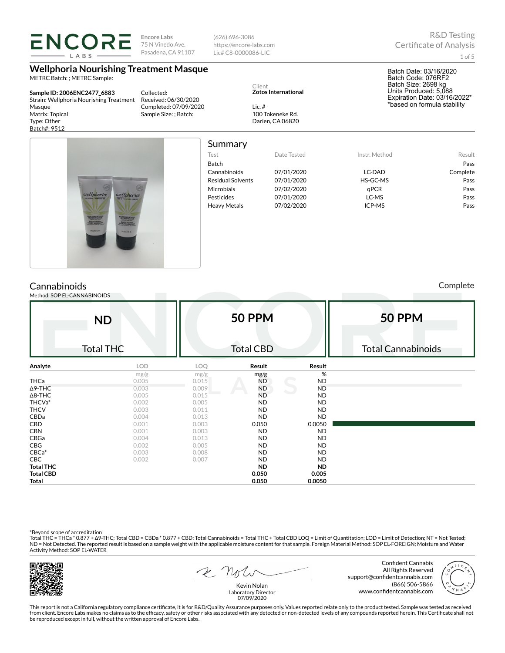75 N Vinedo Ave. https://encore-labs.com Pasadena, CA 91107 Lic# C8-0000086-LIC LABS **Wellphoria Nourishing Treatment Masque** METRC Batch: ; METRC Sample: Client **Zotos International Sample ID: 2006ENC2477\_6883** Collected: Strain: Wellphoria Nourishing Treatment Received: 06/30/2020 Masque Completed: 07/09/2020 Lic. # 100 Tokeneke Rd. Matrix: Topical Sample Size: ; Batch: Type: Other Darien, CA 06820 Batch#: 9512 Summary

(626) 696-3086

| Test                     | Date Tested | Instr. Method | Result   |
|--------------------------|-------------|---------------|----------|
| <b>Batch</b>             |             |               | Pass     |
| Cannabinoids             | 07/01/2020  | LC-DAD        | Complete |
| <b>Residual Solvents</b> | 07/01/2020  | HS-GC-MS      | Pass     |
| Microbials               | 07/02/2020  | qPCR          | Pass     |
| Pesticides               | 07/01/2020  | LC-MS         | Pass     |
| <b>Heavy Metals</b>      | 07/02/2020  | ICP-MS        | Pass     |
|                          |             |               |          |
|                          |             |               |          |

**Cannabinoids** 

Method: SOP EL-CANNABINOIDS

**ND** Total THC **50 PPM** Total CBD **50 PPM** Total Cannabinoids **Analyte LOD LOQ Result Result** mg/g  $mg/g$  mg/g  $mg/g$  % THCa 0.005 0.015 ND ND Δ9-THC 0.003 0.009 ND ND Δ8-THC 0.005 0.015 ND ND THCVa\* 0.002 0.005 ND ND

THCV 0.003 0.011 ND ND CBDa 0.004 0.013 ND ND **CBD** 0.001 0.003 0.050 0.0050 0.0050 CBN 0.001 0.003 ND ND CBGa 0.004 0.013 ND ND **CBG** 0.002 0.005 ND ND CBCa\* 0.003 0.008 ND ND CBC 0.002 0.007 ND ND **Total THC ND ND Total CBD 0.050 0.005 Total 0.050 0.0050**

\*Beyond scope of accreditation<br>Total THC = THCa \* 0.877 + ∆9-THC; Total CBD = CBDa \* 0.877 + CBD; Total Cannabinoids = Total THC + Total CBD LOQ = Limit of Quantitation; LOD = Limit of Detection; NT = Not Tested; ND = Not Detected. The reported result is based on a sample weight with the applicable moisture content for that sample. Foreign Material Method: SOP EL-FOREIGN; Moisture and Water Activity Method: SOP EL-WATER



2 Note

Confident Cannabis All Rights Reserved support@confidentcannabis.com (866) 506-5866 www.confidentcannabis.com



Kevin Nolan Laboratory Director 07/09/2020

This report is not a California regulatory compliance certificate, it is for R&D/Quality Assurance purposes only. Values reported relate only to the product tested. Sample was tested as received from client. Encore Labs makes no claims as to the efficacy, safety or other risks associated with any detected or non-detected levels of any compounds reported herein. This Certificate shall not<br>be reproduced except in fu

1 of 5

Complete

Batch Date: 03/16/2020 Batch Code: 076RF2 Batch Size: 2698 kg Units Produced: 5,088 Expiration Date: 03/16/2022\* \*based on formula stability



**Encore Labs**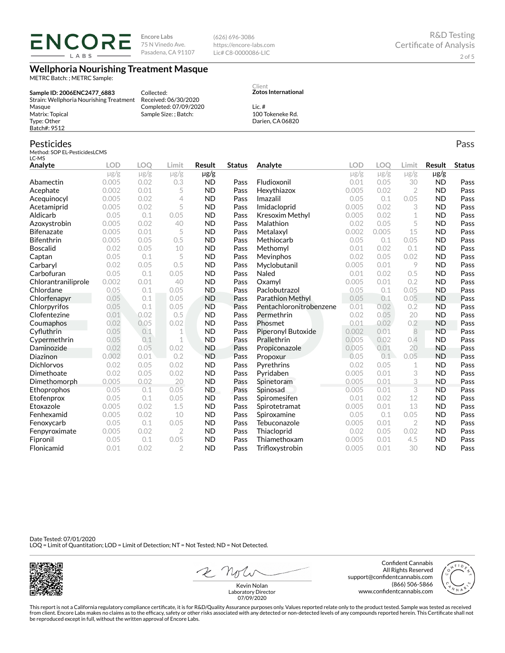**ENCORE** LABS

**Encore Labs** 75 N Vinedo Ave. Pasadena, CA 91107

Collected: Received: 06/30/2020 Completed: 07/09/2020 Sample Size: ; Batch:

(626) 696-3086 https://encore-labs.com Lic# C8-0000086-LIC

Client

Lic. #

**Zotos International**

100 Tokeneke Rd. Darien, CA 06820

## **Wellphoria Nourishing Treatment Masque**

METRC Batch: ; METRC Sample:

**Sample ID: 2006ENC2477\_6883** Strain: Wellphoria Nourishing Treatment Masque Matrix: Topical Type: Other Batch#: 9512

### Pesticides

Method: SOP EL-PesticidesLCMS

| LC-MS               |            |            |                |           |               |                         |           |           |                |               |               |
|---------------------|------------|------------|----------------|-----------|---------------|-------------------------|-----------|-----------|----------------|---------------|---------------|
| Analyte             | <b>LOD</b> | <b>LOO</b> | Limit          | Result    | <b>Status</b> | Analyte                 | LOD       | LOQ       | Limit          | <b>Result</b> | <b>Status</b> |
|                     | $\mu$ g/g  | $\mu$ g/g  | $\mu$ g/g      | µg/g      |               |                         | $\mu$ g/g | $\mu$ g/g | $\mu$ g/g      | $\mu$ g/g     |               |
| Abamectin           | 0.005      | 0.02       | 0.3            | <b>ND</b> | Pass          | Fludioxonil             | 0.01      | 0.05      | 30             | <b>ND</b>     | Pass          |
| Acephate            | 0.002      | 0.01       | 5              | <b>ND</b> | Pass          | Hexythiazox             | 0.005     | 0.02      | $\overline{2}$ | <b>ND</b>     | Pass          |
| Acequinocyl         | 0.005      | 0.02       | 4              | <b>ND</b> | Pass          | Imazalil                | 0.05      | 0.1       | 0.05           | <b>ND</b>     | Pass          |
| Acetamiprid         | 0.005      | 0.02       | 5              | <b>ND</b> | Pass          | Imidacloprid            | 0.005     | 0.02      | 3              | <b>ND</b>     | Pass          |
| Aldicarb            | 0.05       | 0.1        | 0.05           | <b>ND</b> | Pass          | Kresoxim Methyl         | 0.005     | 0.02      | 1              | <b>ND</b>     | Pass          |
| Azoxystrobin        | 0.005      | 0.02       | 40             | <b>ND</b> | Pass          | Malathion               | 0.02      | 0.05      | 5              | <b>ND</b>     | Pass          |
| <b>Bifenazate</b>   | 0.005      | 0.01       | 5              | <b>ND</b> | Pass          | Metalaxyl               | 0.002     | 0.005     | 15             | <b>ND</b>     | Pass          |
| <b>Bifenthrin</b>   | 0.005      | 0.05       | 0.5            | <b>ND</b> | Pass          | Methiocarb              | 0.05      | 0.1       | 0.05           | <b>ND</b>     | Pass          |
| <b>Boscalid</b>     | 0.02       | 0.05       | 10             | <b>ND</b> | Pass          | Methomyl                | 0.01      | 0.02      | 0.1            | <b>ND</b>     | Pass          |
| Captan              | 0.05       | 0.1        | 5              | <b>ND</b> | Pass          | Mevinphos               | 0.02      | 0.05      | 0.02           | <b>ND</b>     | Pass          |
| Carbaryl            | 0.02       | 0.05       | 0.5            | <b>ND</b> | Pass          | Myclobutanil            | 0.005     | 0.01      | 9              | <b>ND</b>     | Pass          |
| Carbofuran          | 0.05       | 0.1        | 0.05           | <b>ND</b> | Pass          | Naled                   | 0.01      | 0.02      | 0.5            | <b>ND</b>     | Pass          |
| Chlorantraniliprole | 0.002      | 0.01       | 40             | <b>ND</b> | Pass          | Oxamyl                  | 0.005     | 0.01      | 0.2            | <b>ND</b>     | Pass          |
| Chlordane           | 0.05       | 0.1        | 0.05           | <b>ND</b> | Pass          | Paclobutrazol           | 0.05      | 0.1       | 0.05           | <b>ND</b>     | Pass          |
| Chlorfenapyr        | 0.05       | 0.1        | 0.05           | <b>ND</b> | Pass          | Parathion Methyl        | 0.05      | 0.1       | 0.05           | <b>ND</b>     | Pass          |
| Chlorpyrifos        | 0.05       | 0.1        | 0.05           | <b>ND</b> | Pass          | Pentachloronitrobenzene | 0.01      | 0.02      | 0.2            | <b>ND</b>     | Pass          |
| Clofentezine        | 0.01       | 0.02       | 0.5            | <b>ND</b> | Pass          | Permethrin              | 0.02      | 0.05      | 20             | <b>ND</b>     | Pass          |
| Coumaphos           | 0.02       | 0.05       | 0.02           | <b>ND</b> | Pass          | Phosmet                 | 0.01      | 0.02      | 0.2            | <b>ND</b>     | Pass          |
| Cyfluthrin          | 0.05       | 0.1        | 1              | <b>ND</b> | Pass          | Piperonyl Butoxide      | 0.002     | 0.01      | 8              | <b>ND</b>     | Pass          |
| Cypermethrin        | 0.05       | 0.1        | 1              | <b>ND</b> | Pass          | Prallethrin             | 0.005     | 0.02      | 0.4            | <b>ND</b>     | Pass          |
| Daminozide          | 0.02       | 0.05       | 0.02           | <b>ND</b> | Pass          | Propiconazole           | 0.005     | 0.01      | 20             | <b>ND</b>     | Pass          |
| Diazinon            | 0.002      | 0.01       | 0.2            | <b>ND</b> | Pass          | Propoxur                | 0.05      | 0.1       | 0.05           | <b>ND</b>     | Pass          |
| <b>Dichlorvos</b>   | 0.02       | 0.05       | 0.02           | <b>ND</b> | Pass          | Pyrethrins              | 0.02      | 0.05      | $\mathbf 1$    | <b>ND</b>     | Pass          |
| Dimethoate          | 0.02       | 0.05       | 0.02           | <b>ND</b> | Pass          | Pyridaben               | 0.005     | 0.01      | 3              | <b>ND</b>     | Pass          |
| Dimethomorph        | 0.005      | 0.02       | 20             | <b>ND</b> | Pass          | Spinetoram              | 0.005     | 0.01      | 3              | <b>ND</b>     | Pass          |
| Ethoprophos         | 0.05       | 0.1        | 0.05           | ND.       | Pass          | Spinosad                | 0.005     | 0.01      | 3              | <b>ND</b>     | Pass          |
| Etofenprox          | 0.05       | 0.1        | 0.05           | <b>ND</b> | Pass          | Spiromesifen            | 0.01      | 0.02      | 12             | <b>ND</b>     | Pass          |
| Etoxazole           | 0.005      | 0.02       | 1.5            | <b>ND</b> | Pass          | Spirotetramat           | 0.005     | 0.01      | 13             | <b>ND</b>     | Pass          |
| Fenhexamid          | 0.005      | 0.02       | 10             | <b>ND</b> | Pass          | Spiroxamine             | 0.05      | 0.1       | 0.05           | <b>ND</b>     | Pass          |
| Fenoxycarb          | 0.05       | 0.1        | 0.05           | <b>ND</b> | Pass          | Tebuconazole            | 0.005     | 0.01      | $\overline{2}$ | <b>ND</b>     | Pass          |
| Fenpyroximate       | 0.005      | 0.02       | $\overline{2}$ | <b>ND</b> | Pass          | Thiacloprid             | 0.02      | 0.05      | 0.02           | <b>ND</b>     | Pass          |
| Fipronil            | 0.05       | 0.1        | 0.05           | <b>ND</b> | Pass          | Thiamethoxam            | 0.005     | 0.01      | 4.5            | <b>ND</b>     | Pass          |
| Flonicamid          | 0.01       | 0.02       | $\overline{2}$ | <b>ND</b> | Pass          | Trifloxystrobin         | 0.005     | 0.01      | 30             | <b>ND</b>     | Pass          |

Date Tested: 07/01/2020 LOQ = Limit of Quantitation; LOD = Limit of Detection; NT = Not Tested; ND = Not Detected.



2 not Kevin Nolan

Confident Cannabis All Rights Reserved support@confidentcannabis.com (866) 506-5866 www.confidentcannabis.com

This report is not a California regulatory compliance certificate, it is for R&D/Quality Assurance purposes only. Values reported relate only to the product tested. Sample was tested as received from client. Encore Labs makes no claims as to the efficacy, safety or other risks associated with any detected or non-detected levels of any compounds reported herein. This Certificate shall not<br>be reproduced except in fu 07/09/2020

Laboratory Director

Pass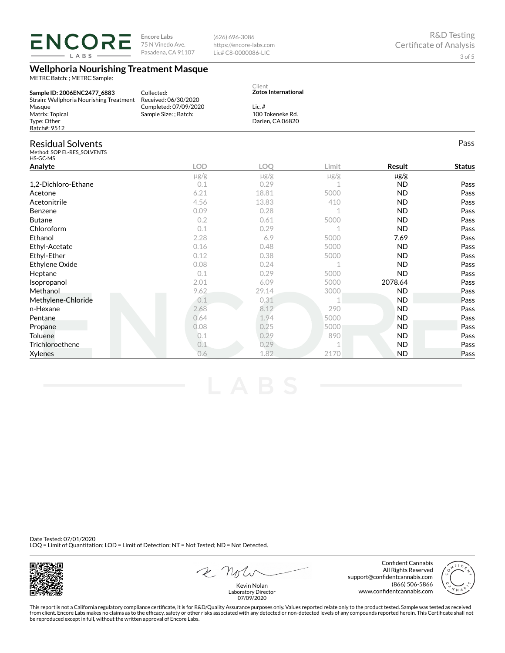**ENCORE** 75 N Vinedo Ave. https://encore-labs.com Pasadena, CA 91107 Lic# C8-0000086-LIC LABS **Wellphoria Nourishing Treatment Masque** METRC Batch: ; METRC Sample: Client **Zotos International Sample ID: 2006ENC2477\_6883** Collected: Strain: Wellphoria Nourishing Treatment Received: 06/30/2020 Masque Completed: 07/09/2020 Lic. # 100 Tokeneke Rd. Sample Size: ; Batch: Matrix: Topical Type: Other Darien, CA 06820 Batch#: 9512 Residual Solvents Method: SOP EL-RES\_SOLVENTS HS-GC-MS **Analyte LOD LOQ Limit Result Status** µg/g µg/g µg/g µg/g 1,2-Dichloro-Ethane 2010 0.1 0.29 1 ND Pass Acetone 6.21 18.81 5000 ND Pass Acetonitrile 4.56 13.83 410 ND Pass Benzene 0.09 0.28 1 ND Pass Butane 0.2 0.61 5000 ND Pass

(626) 696-3086

**Encore Labs**

 $0.1$  0.29 1 ND Pass Ethanol 2.28 6.9 5000 7.69 Pass Ethyl-Acetate 0.16 0.48 5000 ND Pass Ethyl-Ether 0.12 0.38 5000 ND Pass Ethylene Oxide 0.08 0.24 1 ND Pass **Heptane 19 Contract Contract Contract Contract Contract Contract Contract Contract Contract Contract Contract Contract Pass** Isopropanol 2.01 6.09 5000 2078.64 Pass Methanol 9.62 29.14 3000 ND Pass Methylene-Chloride 0.1 0.31 1 ND Pass n-Hexane 2.68 8.12 2.90 ND Pass **Pentane 2.1.94 5000 ND Pass Propane 2.08 5000 ND Pass** Toluene 0.1 0.29 890 ND Pass Trichloroethene 0.1 0.29 1 ND Pass Xylenes 0.6 1.82 2170 ND Pass

Date Tested: 07/01/2020 LOQ = Limit of Quantitation; LOD = Limit of Detection; NT = Not Tested; ND = Not Detected.

Kevin Nolan Laboratory Director 07/09/2020

This report is not a California regulatory compliance certificate, it is for R&D/Quality Assurance purposes only. Values reported relate only to the product tested. Sample was tested as received from client. Encore Labs makes no claims as to the efficacy, safety or other risks associated with any detected or non-detected levels of any compounds reported herein. This Certificate shall not be reproduced except in full, without the written approval of Encore Labs.







Confident Cannabis All Rights Reserved

(866) 506-5866

support@confidentcannabis.com

www.confidentcannabis.com

Pass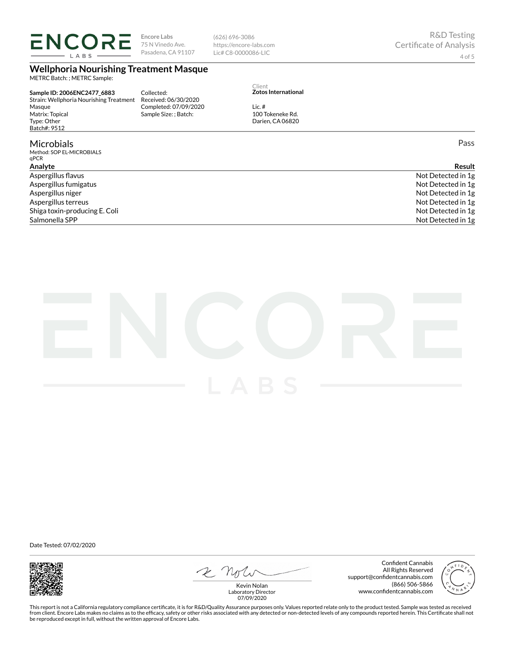LABS

**Encore Labs** 75 N Vinedo Ave. Pasadena, CA 91107 (626) 696-3086 https://encore-labs.com Lic# C8-0000086-LIC

# **Wellphoria Nourishing Treatment Masque**

METRC Batch: ; METRC Sample:

**Sample ID: 2006ENC2477\_6883** Strain: Wellphoria Nourishing Treatment Masque Matrix: Topical Type: Other Batch#: 9512

## **Microbials**

Method: SOP EL-MICROBIALS qPCR

Collected: Received: 06/30/2020 Completed: 07/09/2020 Sample Size: ; Batch:

Client **Zotos International**

100 Tokeneke Rd. Darien, CA 06820

Lic. #

Pass

| Analvte                       | <b>Result</b>      |
|-------------------------------|--------------------|
| Aspergillus flavus            | Not Detected in 1g |
| Aspergillus fumigatus         | Not Detected in 1g |
| Aspergillus niger             | Not Detected in 1g |
| Aspergillus terreus           | Not Detected in 1g |
| Shiga toxin-producing E. Coli | Not Detected in 1g |
| Salmonella SPP                | Not Detected in 1g |



Date Tested: 07/02/2020



2 Note

Confident Cannabis All Rights Reserved support@confidentcannabis.com (866) 506-5866 www.confidentcannabis.com

Kevin Nolan Laboratory Director 07/09/2020

This report is not a California regulatory compliance certificate, it is for R&D/Quality Assurance purposes only. Values reported relate only to the product tested. Sample was tested as received from client. Encore Labs makes no claims as to the efficacy, safety or other risks associated with any detected or non-detected levels of any compounds reported herein. This Certificate shall not<br>be reproduced except in fu